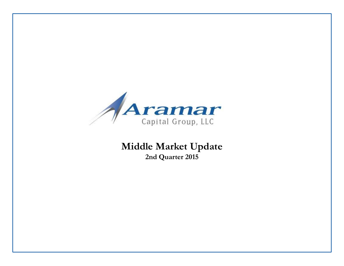

**Middle Market Update 2nd Quarter 2015**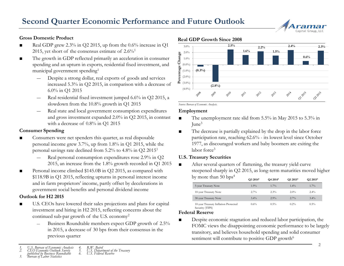# Capital Group, LL

#### **Gross Domestic Product**

- Real GDP grew 2.3% in Q2 2015, up from the 0.6% increase in Q1 2015, yet short of the consensus estimate of  $2.6\%$ <sup>1</sup>
- The growth in GDP reflected primarily an acceleration in consumer spending and an upturn in exports, residential fixed investment, and municipal government spending<sup>1</sup>
	- ― Despite a strong dollar, real exports of goods and services increased 5.3% in Q2 2015, in comparison with a decrease of 6.0% in Q1 2015
	- Real residential fixed investment jumped 6.6% in Q2 2015, a slowdown from the 10.8% growth in Q1 2015
	- Real state and local government consumption expenditures and gross investment expanded 2.0% in Q2 2015, in contrast with a decrease of 0.8% in Q1 2015

#### **Consumer Spending**

- Consumers were net spenders this quarter, as real disposable personal income grew 3.7%, up from 1.8% in Q1 2015, while the personal savings rate declined from 5.2% to 4.8% in Q2 2015<sup>1</sup>
	- Real personal consumption expenditures rose 2.9% in Q2 2015, an increase from the 1.8% growth recorded in Q1 2015
- Personal income climbed \$145.0B in Q2 2015, as compared with \$118.9B in Q1 2015, reflecting upturns in personal interest income and in farm proprietors' income, partly offset by decelerations in government social benefits and personal dividend income

#### **Outlook for H2 2015**

- U.S. CEOs have lowered their sales projections and plans for capital investment and hiring in H2 2015, reflecting concerns about the continued sub-par growth of the U.S. economy<sup>2</sup>
	- Business Roundtable members expect GDP growth of 2.5% in 2015, a decrease of 30 bps from their consensus in the previous quarter

#### *1. U.S. Bureau of Economic Analysis 2. CEO Economic Outlook Survey 4. R.W. Baird 5. U.S. Department of the Treasury 6. U.S. Federal Reserve*



*published by Business Roundtable 3. Bureau of Labor Statistics*





 *Source: Bureau of Economic Analysis.*

#### **Employment**

- The unemployment rate slid from 5.5% in May 2015 to 5.3% in June<sup>3</sup>
- The decrease is partially explained by the drop in the labor force participation rate, reaching 62.6% - its lowest level since October 1977, as discouraged workers and baby boomers are exiting the labor force<sup>3</sup>

#### **U.S. Treasury Securities**

■ After several quarters of flattening, the treasury yield curve steepened sharply in Q2 2015, as long-term maturities moved higher by more than 50 bps<sup>4</sup>

|                                                         | O3 2014 <sup>5</sup> | O <sub>4</sub> 2014 <sup>5</sup> | O1 2015 <sup>5</sup> | O <sub>2</sub> 2015 <sup>5</sup> |
|---------------------------------------------------------|----------------------|----------------------------------|----------------------|----------------------------------|
| 5-year Treasury Note                                    | $1.9\%$              | $1.7\%$                          | $1.4\%$              | $1.7\%$                          |
| 10-year Treasury Note                                   | $2.7\%$              | 2.3%                             | 2.0%                 | $2.4\%$                          |
| 30-year Treasury Note                                   | $3.4\%$              | 2.9%                             | $2.7\%$              | $3.4\%$                          |
| 10-year Treasury Inflation Protected<br>Security (TIPS) | 0.6%                 | 0.5%                             | $0.2\%$              | $0.5\%$                          |

#### **Federal Reserve**

■ Despite economic stagnation and reduced labor participation, the FOMC views the disappointing economic performance to be largely transitory, and believes household spending and solid consumer sentiment will contribute to positive GDP growth<sup>6</sup>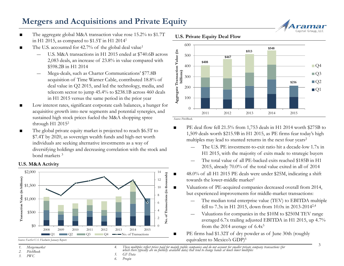## **Mergers and Acquisitions and Private Equity**

- The aggregate global M&A transaction value rose 15.2% to \$1.7T in H1 2015, as compared to \$1.5T in H1 2014<sup>1</sup>
- The U.S. accounted for 42.7% of the global deal value<sup>1</sup>
	- U.S. M&A transactions in H1 2015 ended at \$740.6B across 2,083 deals, an increase of 23.8% in value compared with \$598.2B in H1 2014
	- ― Mega-deals, such as Charter Communications' \$77.8B acquisition of Time Warner Cable, contributed 18.8% of deal value in Q2 2015, and led the technology, media, and telecom sector to jump 45.4% to \$238.1B across 460 deals in H1 2015 versus the same period in the prior year
- Low interest rates, significant corporate cash balances, a hunger for acquisitive growth into new segments and potential synergies, and sustained high stock prices fueled the M&A shopping spree through H1 2015<sup>2</sup>
- The global private equity market is projected to reach \$6.5T to \$7.4T by 2020, as sovereign wealth funds and high-net worth individuals are seeking alternative investments as a way of diversifying holdings and decreasing correlation with the stock and bond markets <sup>3</sup>

#### **U.S. M&A Activity**



*Source: FactSet U.S. Flashwire January Report.* 

- *2. PitchBook*
- *3. PWC*



3

**U.S. Private Equity Deal Flow**



*Source: PitchBook.*

- PE deal flow fell 21.5% from 1,753 deals in H1 2014 worth \$275B to 1,509 deals worth \$215.9B in H1 2015, as PE firms fear today's high multiples may lead to stunted returns in the next four years<sup>2</sup>
	- The U.S. PE investment-to-exit ratio hit a decade-low 1.7x in H1 2015, with the majority of exits made to strategic buyers
	- ― The total value of all PE-backed exits reached \$185B in H1 2015, already 70.0% of the total value exited in all of 2014
	- 48.0% of all H1 2015 PE deals were under \$25M, indicating a shift towards the lower-middle market $2$
- Valuations of PE-acquired companies decreased overall from 2014, but experienced improvements for middle-market transactions:
	- The median total enterprise value (TEV) to EBITDA multiple fell to 7.3x in H1 2015, down from 10.0x in 2013-20142,4
	- ― Valuations for companies in the \$10M to \$250M TEV range averaged 6.7x trailing adjusted EBITDA in H1 2015, up 4.7% from the 2014 average of  $6.4x^5$
	- PE firms had \$1.32T of dry powder as of June 30th (roughly equivalent to Mexico's GDP)6

4. These multiples reflect prices paid for mainly public companies and do not account for smaller private company transactions (for<br>which there typically are no publicly available data) that tend to change hands at much lo *5. GF Data*

*6. Preqin*

*<sup>1.</sup> Mergermarket*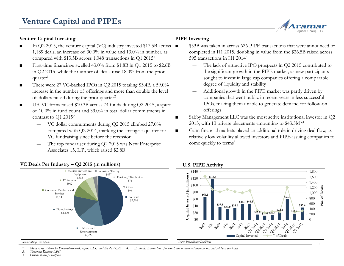### **Venture Capital Investing**

- $\blacksquare$  In Q2 2015, the venture capital (VC) industry invested \$17.5B across  $\blacksquare$ 1,189 deals, an increase of 30.0% in value and 13.0% in number, as compared with \$13.5B across 1,048 transactions in Q1 2015<sup>1</sup>
- First-time financings swelled 43.0% from \$1.8B in O1 2015 to \$2.6B in Q2 2015, while the number of deals rose 18.0% from the prior quarter<sup>1</sup>
- There were 27 VC-backed IPOs in Q2 2015 totaling \$3.4B, a 59.0% increase in the number of offerings and more than double the level of dollars raised during the prior quarter<sup>2</sup>
- U.S. VC firms raised \$10.3B across 74 funds during Q2 2015, a spurt of 10.0% in fund count and 39.0% in total dollar commitments in contrast to Q1 2015<sup>2</sup>
	- ― VC dollar commitments during Q2 2015 climbed 27.0% compared with Q2 2014, marking the strongest quarter for VC fundraising since before the recession
	- The top fundraiser during Q2 2015 was New Enterprise Associates 15, L.P., which raised \$2.8B

#### **PIPE Investing**

- \$53B was taken in across 626 PIPE transactions that were announced or completed in H1 2015, doubling in value from the \$26.5B raised across 595 transactions in H1 2014<sup>3</sup>
	- The lack of attractive IPO prospects in O2 2015 contributed to the significant growth in the PIPE market, as new participants sought to invest in large cap companies offering a comparable degree of liquidity and stability
	- ― Additional growth in the PIPE market was partly driven by companies that went public in recent years in less successful IPOs, making them unable to generate demand for follow-on offerings
- Sabby Management LLC was the most active institutional investor in Q2 2015, with 13 private placements amounting to \$43.5M<sup>3,4</sup>
- Calm financial markets played an additional role in driving deal flow, as relatively low volatility allowed investors and PIPE-issuing companies to come quickly to terms<sup>3</sup>



### **VC Deals Per Industry – Q2 2015 (in millions)**

*Source: MoneyTree Report.*

#### *1. MoneyTree Report by PricewaterhouseCoopers LLC and the NVCA 4. Excludes transactions for which the investment amount has not yet been disclosed*

*2. Thomson Reuters LPC*

*3. Private Raise/Dealflow*

Capital Group, LLC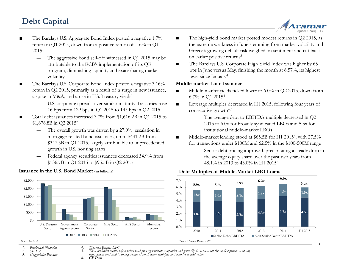# **Debt Capital**



- The Barclays U.S. Aggregate Bond Index posted a negative 1.7% return in Q1 2015, down from a positive return of 1.6% in Q1  $2015<sup>1</sup>$ 
	- The aggressive bond sell-off witnessed in Q1 2015 may be attributable to the ECB's implementation of its QE program, diminishing liquidity and exacerbating market volatility
- The Barclays U.S. Corporate Bond Index posted a negative  $3.16\%$ return in Q2 2015, primarily as a result of a surge in new issuance, a spike in M&A, and a rise in U.S. Treasury yields<sup>1</sup>
	- ― U.S. corporate spreads over similar maturity Treasuries rose 16 bps from 129 bps in Q1 2015 to 145 bps in Q2 2015
- Total debt issuances increased 3.7% from \$1,616.2B in Q1 2015 to \$1,676.8B in Q2 2015<sup>2</sup>
	- The overall growth was driven by a 27.0% escalation in mortgage-related bond issuances, up to \$441.2B from \$347.5B in Q1 2015, largely attributable to unprecedented growth in U.S. housing starts
	- Federal agency securities issuances decreased 34.9% from \$136.7B in Q1 2015 to \$95.5B in Q2 2015



#### **Issuance in the U.S. Bond Market (in billions)**

- The high-yield bond market posted modest returns in Q2 2015, as the extreme weakness in June stemming from market volatility and Greece's growing default risk weighed on sentiment and cut back on earlier positive returns<sup>3</sup>
- The Barclays U.S. Corporate High Yield Index was higher by 65 bps in June versus May, finishing the month at 6.57%, its highest level since January<sup>4</sup>

#### **Middle-market Loan Issuance**

- Middle-market yields ticked lower to 6.0% in O2 2015, down from 6.7% in Q1 2015<sup>4</sup>
- Leverage multiples decreased in H1 2015, following four years of consecutive growth<sup>4,5</sup>
	- The average debt to EBITDA multiple decreased in Q2 2015 to 6.0x for broadly syndicated LBOs and 5.3x for institutional middle-market LBOs
- Middle-market lending stood at \$65.5B for H1 2015<sup>4</sup>, with 27.5% for transactions under \$100M and 62.5% in the \$100-500M range
	- Senior debt pricing improved, precipitating a steady drop in the average equity share over the past two years from 48.1% in 2013 to 43.0% in H1 2015<sup>6</sup>

### **Debt Multiples of Middle-Market LBO Loans**



*4. Thomson Reuters LPC 5. These multiples mostly reflect prices paid for larger private companies and generally do not account for smaller private company*

*transactions that tend to change hands at much lower multiples and with lower debt ratios 6. GF Data*

*Source: SIFMA.*

*<sup>1.</sup> Prudential Financial 2. SIFMA*

*<sup>3.</sup> Guggenheim Partners*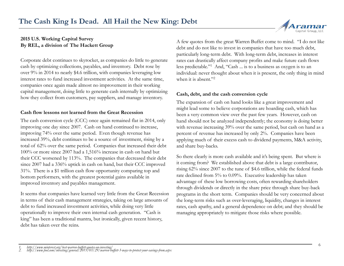

### **2015 U.S. Working Capital Survey By REL, a division of The Hackett Group**

Corporate debt continues to skyrocket, as companies do little to generate cash by optimizing collections, payables, and inventory. Debt rose by over 9% in 2014 to nearly \$4.6 trillion, with companies leveraging low interest rates to fund increased investment activities. At the same time, companies once again made almost no improvement in their working capital management, doing little to generate cash internally by optimizing how they collect from customers, pay suppliers, and manage inventory.

#### **Cash flow lessons not learned from the Great Recession**

The cash conversion cycle (CCC) once again remained flat in 2014, only improving one day since 2007. Cash on hand continued to increase, improving 74% over the same period. Even though revenue has increased 39%, debt continues to be a source of investment, rising by a total of 62% over the same period. Companies that increased their debt 100% or more since 2007 had a 1,516% increase in cash on hand but their CCC worsened by 113%. The companies that decreased their debt since 2007 had a 336% uptick in cash on hand, but their CCC improved 31%. There is a \$1 trillion cash flow opportunity comparing top and bottom performers, with the greatest potential gains available in improved inventory and payables management.

It seems that companies have learned very little from the Great Recession in terms of their cash management strategies, taking on large amounts of debt to fund increased investment activities, while doing very little operationally to improve their own internal cash generation. "Cash is king" has been a traditional mantra, but ironically, given recent history, debt has taken over the reins.

A few quotes from the great Warren Buffet come to mind. "I do not like debt and do not like to invest in companies that have too much debt, particularly long-term debt. With long-term debt, increases in interest rates can drastically affect company profits and make future cash flows less predictable."<sup>1</sup> And, "Cash ... is to a business as oxygen is to an individual: never thought about when it is present, the only thing in mind when it is absent."<sup>2</sup>

### **Cash, debt, and the cash conversion cycle**

The expansion of cash on hand looks like a great improvement and might lead some to believe corporations are hoarding cash, which has been a very common view over the past few years. However, cash on hand should not be analyzed independently; the economy is doing better with revenue increasing 39% over the same period, but cash on hand as a percent of revenue has increased by only 2%. Companies have been applying much of their excess cash to dividend payments, M&A activity, and share buy-backs.

So there clearly is more cash available and it's being spent. But where is it coming from? We established above that debt is a large contributor, rising 62% since 2007 to the tune of \$4.6 trillion, while the federal funds rate declined from 5% to 0.09%. Executive leadership has taken advantage of these low borrowing costs, often rewarding shareholders through dividends or directly in the share price through share buy-back programs in the short term. Companies should be very concerned about the long-term risks such as over-leveraging, liquidity, changes in interest rates, cash apathy, and a general dependence on debt; and they should be managing appropriately to mitigate those risks where possible.

*<sup>1.</sup> http://www.minterest.org/best-warren-buffett-quotes-on-investing/ 2. http://www.fool.com/investing/general/2015/03/29/warren-buffett-3-ways-to-protect-your-savings-from.aspx*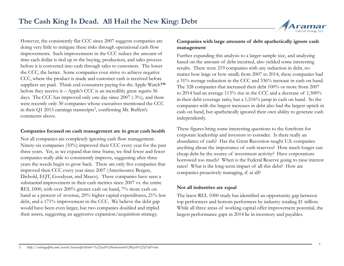

However, the consistently flat CCC since 2007 suggests companies are doing very little to mitigate these risks through operational cash flow improvements. Such improvements in the CCC reduce the amount of time each dollar is tied up in the buying, production, and sales process before it is converted into cash through sales to customers. The lower the CCC, the better. Some companies even strive to achieve negative CCC, where the product is made and customer cash is received before suppliers are paid. Think end consumers paying for the Apple Watch™ before they receive it – Apple's CCC is an incredibly great *negative* 56 days. The CCC has improved only one day since 2007 (-3%), and there were recently only 30 companies whose executives mentioned the CCC in their Q1 2015 earnings transcripts<sup>3</sup>, confirming Mr. Buffett's comments above.

#### **Companies focused on cash management are in great cash health**

Not all companies are completely ignoring cash flow management. Ninety-six companies (10%) improved their CCC every year for the past three years. Yet, as we expand that time frame, we find fewer and fewer companies really able to consistently improve, suggesting after three years the weeds begin to grow back. There are only five companies that improved their CCC every year since 2007 (Amerisource Bergen, Diebold, EQT, Goodyear, and Masco). These companies have seen a substantial improvement in their cash metrics since 2007 vs. the entire REL 1000, with over 200% greater cash on hand, 7% more cash on hand as a percent of revenue, 20% higher capital expenditures, 21% less debt, and a 171% improvement in the CCC. We believe the debt gap would have been even larger, but two companies doubled and tripled their assets, suggesting an aggressive expansion/acquisition strategy.

#### **Companies with large amounts of debt apathetically ignore cash management**

Further expanding this analysis to a larger sample size, and analyzing based on the amount of debt incurred, also yielded some interesting results. There were 219 companies with any reduction in debt, no matter how large or how small; from 2007 to 2014, these companies had a 31% average reduction in the CCC and 336% increase in cash on hand. The 328 companies that increased their debt 100% or more from 2007 to 2014 had an average 113% rise in the CCC and a decrease of 1,500% in their debt coverage ratio, but a 1,516% jump in cash on hand. So the companies with the largest increases in debt also had the largest uptick in cash on hand, but apathetically ignored their own ability to generate cash independently.

These figures bring some interesting questions to the forefront for corporate leadership and investors to consider. Is there really an abundance of cash? Has the Great Recession taught U.S. companies anything about the importance of cash reserves? How much longer can cheap debt be the source of investment activity? Have corporations borrowed too much? When is the Federal Reserve going to raise interest rates? What is the long-term impact of all this debt? How are companies proactively managing, if at all?

### **Not all industries are equal**

The latest REL 1000 study has identified an opportunity gap between top performers and bottom performers by industry totaling \$1 trillion. While all three areas of working capital offer improvement potential, the largest performance gaps in 2014 lie in inventory and payables.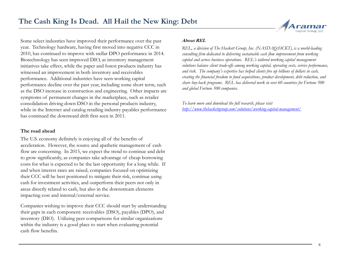

Some select industries have improved their performance over the past year. Technology hardware, having first moved into negative CCC in 2010, has continued to improve with stellar DPO performance in 2014. Biotechnology has seen improved DIO, as inventory management initiatives take effect, while the paper and forest products industry has witnessed an improvement in both inventory and receivables performance. Additional industries have seen working capital performance decline over the past year, including some short term, such as the DSO increase in construction and engineering. Other impacts are symptoms of permanent changes in the marketplace, such as retailer consolidation driving down DSO in the personal products industry, while in the Internet and catalog retailing industry payables performance has continued the downward drift first seen in 2011.

#### **The road ahead**

The U.S. economy definitely is enjoying all of the benefits of acceleration. However, the source and apathetic management of cash flow are concerning. In 2015, we expect the trend to continue and debt to grow significantly, as companies take advantage of cheap borrowing costs for what is expected to be the last opportunity for a long while. If and when interest rates are raised, companies focused on optimizing their CCC will be best positioned to mitigate their risk, continue using cash for investment activities, and outperform their peers not only in areas directly related to cash, but also in the downstream elements impacting cost and internal/external service.

Companies wishing to improve their CCC should start by understanding their gaps in each component: receivables (DSO), payables (DPO), and inventory (DIO). Utilizing peer comparisons for similar organizations within the industry is a good place to start when evaluating potential cash flow benefits.

#### **About REL**

*REL, a division of The Hackett Group, Inc. (NASDAQ:HCKT), is a world-leading consulting firm dedicated to delivering sustainable cash flow improvement from working capital and across business operations. REL's tailored working capital management solutions balance client trade-offs among working capital, operating costs, service performance, and risk. The company's expertise has helped clients free up billions of dollars in cash, creating the financial freedom to fund acquisitions, product development, debt reduction, and share buy-back programs. REL has delivered work in over 60 countries for Fortune 500 and global Fortune 500 companies.*

*To learn more and download the full research, please visit <http://www.thehackettgroup.com/solutions/working-capital-management/>*